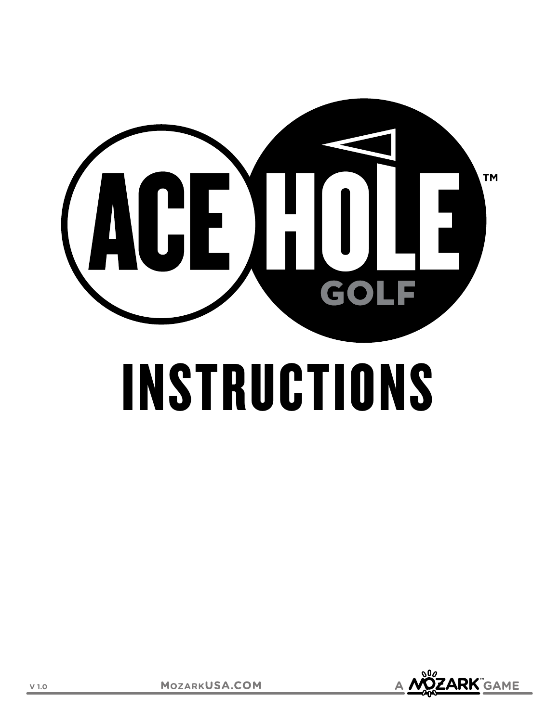

# INSTRUCTIONS

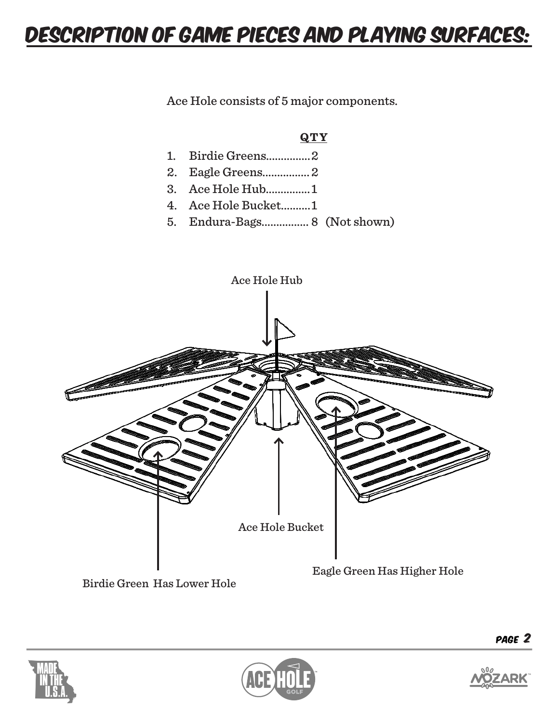### DESCRIPTION OF GAME PIECES AND PLAYING SURFACES:

Ace Hole consists of 5 major components.

#### **QTY**

- 1. Birdie Greens............... 2
- 2. Eagle Greens................ 2
- 3. Ace Hole Hub............... 1
- 4. Ace Hole Bucket.......... 1
- 5. Endura-Bags................ 8 (Not shown)



Birdie Green Has Lower Hole





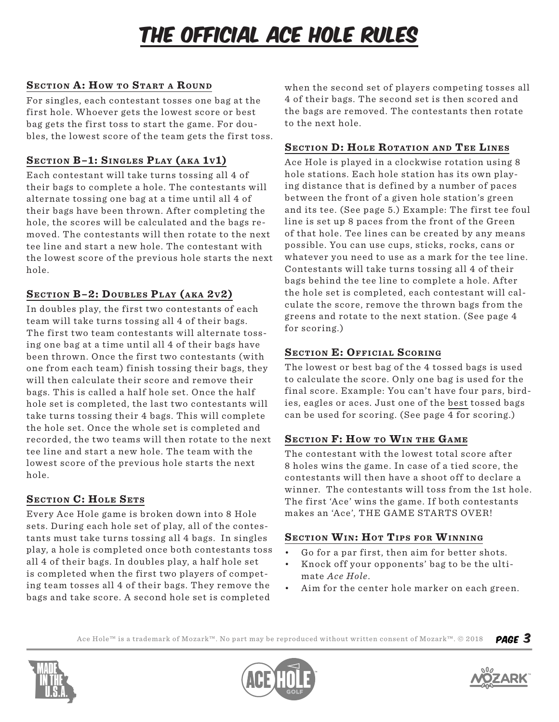## THE OFFICIAL ACE HOLE RULES

#### **SECTION A: HOW TO START A ROUND**

For singles, each contestant tosses one bag at the first hole. Whoever gets the lowest score or best bag gets the first toss to start the game. For doubles, the lowest score of the team gets the first toss.

#### SECTION B-1: SINGLES PLAY (AKA 1v1)

Each contestant will take turns tossing all 4 of their bags to complete a hole. The contestants will alternate tossing one bag at a time until all 4 of their bags have been thrown. After completing the hole, the scores will be calculated and the bags removed. The contestants will then rotate to the next tee line and start a new hole. The contestant with the lowest score of the previous hole starts the next hole.

#### SECTION B-2: DOUBLES PLAY (AKA 2v2)

In doubles play, the first two contestants of each team will take turns tossing all 4 of their bags. The first two team contestants will alternate tossing one bag at a time until all 4 of their bags have been thrown. Once the first two contestants (with one from each team) finish tossing their bags, they will then calculate their score and remove their bags. This is called a half hole set. Once the half hole set is completed, the last two contestants will take turns tossing their 4 bags. This will complete the hole set. Once the whole set is completed and recorded, the two teams will then rotate to the next tee line and start a new hole. The team with the lowest score of the previous hole starts the next hole.

#### **SECTION C: HOLE SETS**

Every Ace Hole game is broken down into 8 Hole sets. During each hole set of play, all of the contestants must take turns tossing all 4 bags. In singles play, a hole is completed once both contestants toss all 4 of their bags. In doubles play, a half hole set is completed when the first two players of competing team tosses all 4 of their bags. They remove the bags and take score. A second hole set is completed

when the second set of players competing tosses all 4 of their bags. The second set is then scored and the bags are removed. The contestants then rotate to the next hole.

#### **SECTION D: HOLE ROTATION AND TEE LINES**

Ace Hole is played in a clockwise rotation using 8 hole stations. Each hole station has its own playing distance that is defined by a number of paces between the front of a given hole station's green and its tee. (See page 5.) Example: The first tee foul line is set up 8 paces from the front of the Green of that hole. Tee lines can be created by any means possible. You can use cups, sticks, rocks, cans or whatever you need to use as a mark for the tee line. Contestants will take turns tossing all 4 of their bags behind the tee line to complete a hole. After the hole set is completed, each contestant will calculate the score, remove the thrown bags from the greens and rotate to the next station. (See page 4 for scoring.)

#### **SECTION E: OFFICIAL SCORING**

The lowest or best bag of the 4 tossed bags is used to calculate the score. Only one bag is used for the final score. Example: You can't have four pars, birdies, eagles or aces. Just one of the best tossed bags can be used for scoring. (See page 4 for scoring.)

#### **SECTION F: HOW TO WIN THE GAME**

The contestant with the lowest total score after 8 holes wins the game. In case of a tied score, the contestants will then have a shoot off to declare a winner. The contestants will toss from the 1st hole. The first 'Ace' wins the game. If both contestants makes an 'Ace', THE GAME STARTS OVER!

#### **SECTION WIN: HOT TIPS FOR WINNING**

- Go for a par first, then aim for better shots.
- Knock off your opponents' bag to be the ultimate *Ace Hole*.
- Aim for the center hole marker on each green.

Page 3 Ace Hole™ is a trademark of Mozark™. No part may be reproduced without written consent of Mozark™. © 2018





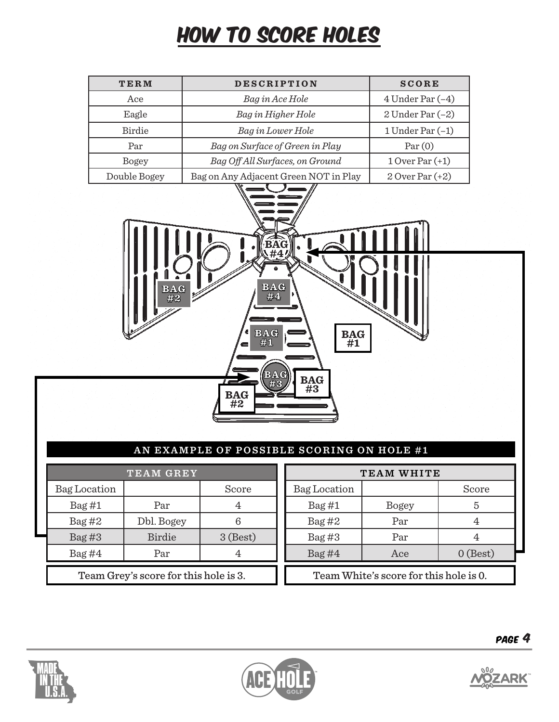## HOW TO SCORE HOLES

| TERM         | <b>DESCRIPTION</b>                    | <b>SCORE</b>         |
|--------------|---------------------------------------|----------------------|
| Ace          | Bag in Ace Hole                       | $4$ Under Par $(-4)$ |
| Eagle        | Bag in Higher Hole                    | $2$ Under Par $(-2)$ |
| Birdie       | Bag in Lower Hole                     | 1 Under Par $(-1)$   |
| Par          | Bag on Surface of Green in Play       | Par(0)               |
| <b>Bogey</b> | Bag Off All Surfaces, on Ground       | $1$ Over Par $(+1)$  |
| Double Bogey | Bag on Any Adjacent Green NOT in Play | $2$ Over Par $(+2)$  |



#### **AN EXAMPLE OF POSSIBLE SCORING ON HOLE #1**

| <b>TEAM GREY</b>                      |               |            |  |  |  |  |  |
|---------------------------------------|---------------|------------|--|--|--|--|--|
| <b>Bag Location</b>                   |               | Score      |  |  |  |  |  |
| Bag#1                                 | Par           |            |  |  |  |  |  |
| Bag#2                                 | Dbl. Bogey    |            |  |  |  |  |  |
| Bag#3                                 | <b>Birdie</b> | $3$ (Best) |  |  |  |  |  |
| Bag#4                                 | Par           |            |  |  |  |  |  |
| Team Grey's score for this hole is 3. |               |            |  |  |  |  |  |

| TEAM WHITE                             |              |            |  |  |  |  |
|----------------------------------------|--------------|------------|--|--|--|--|
| Bag Location                           |              | Score      |  |  |  |  |
| Bag#1                                  | <b>Bogey</b> | 5          |  |  |  |  |
| Bag#2                                  | Par          |            |  |  |  |  |
| Bag#3                                  | Par          |            |  |  |  |  |
| Bag#4                                  | Ace          | $0$ (Best) |  |  |  |  |
| Team White's score for this hole is 0. |              |            |  |  |  |  |





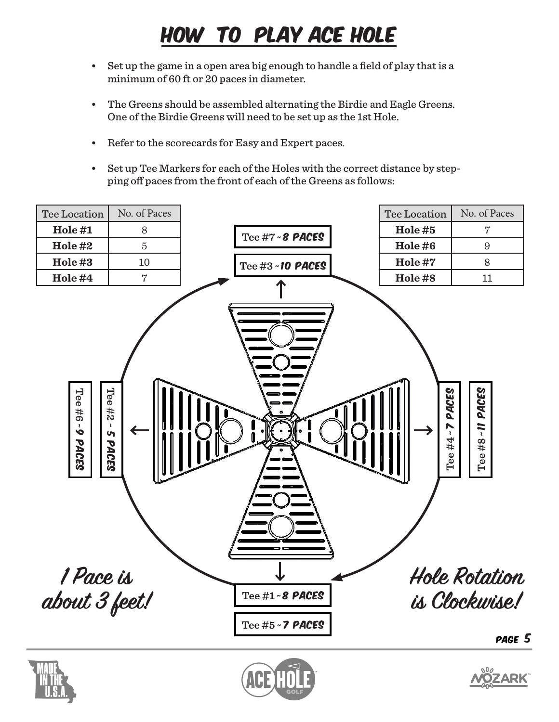## HOW TO PLAY ACE HOLE

- • Set up the game in a open area big enough to handle a field of play that is a minimum of 60 ft or 20 paces in diameter.
- • The Greens should be assembled alternating the Birdie and Eagle Greens. One of the Birdie Greens will need to be set up as the 1st Hole.
- • Refer to the scorecards for Easy and Expert paces.
- • Set up Tee Markers for each of the Holes with the correct distance by stepping off paces from the front of each of the Greens as follows: